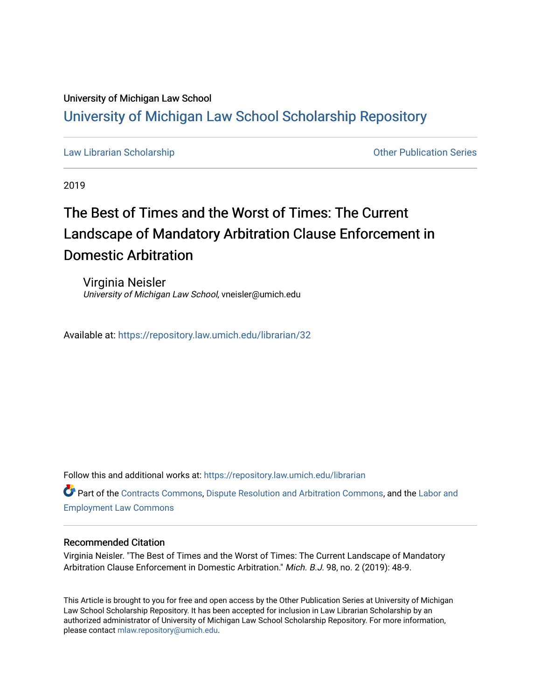## University of Michigan Law School

### [University of Michigan Law School Scholarship Repository](https://repository.law.umich.edu/)

[Law Librarian Scholarship](https://repository.law.umich.edu/librarian) **Contained Accord Contained Accord Contained Accord Contained Accord Contained Accord Contained Accord Contained Accord Contained Accord Contained Accord Contained Accord Contained Accord Containe** 

2019

# The Best of Times and the Worst of Times: The Current Landscape of Mandatory Arbitration Clause Enforcement in Domestic Arbitration

Virginia Neisler University of Michigan Law School, vneisler@umich.edu

Available at: <https://repository.law.umich.edu/librarian/32>

Follow this and additional works at: [https://repository.law.umich.edu/librarian](https://repository.law.umich.edu/librarian?utm_source=repository.law.umich.edu%2Flibrarian%2F32&utm_medium=PDF&utm_campaign=PDFCoverPages) 

Part of the [Contracts Commons](http://network.bepress.com/hgg/discipline/591?utm_source=repository.law.umich.edu%2Flibrarian%2F32&utm_medium=PDF&utm_campaign=PDFCoverPages), [Dispute Resolution and Arbitration Commons,](http://network.bepress.com/hgg/discipline/890?utm_source=repository.law.umich.edu%2Flibrarian%2F32&utm_medium=PDF&utm_campaign=PDFCoverPages) and the [Labor and](http://network.bepress.com/hgg/discipline/909?utm_source=repository.law.umich.edu%2Flibrarian%2F32&utm_medium=PDF&utm_campaign=PDFCoverPages)  [Employment Law Commons](http://network.bepress.com/hgg/discipline/909?utm_source=repository.law.umich.edu%2Flibrarian%2F32&utm_medium=PDF&utm_campaign=PDFCoverPages)

#### Recommended Citation

Virginia Neisler. "The Best of Times and the Worst of Times: The Current Landscape of Mandatory Arbitration Clause Enforcement in Domestic Arbitration." Mich. B.J. 98, no. 2 (2019): 48-9.

This Article is brought to you for free and open access by the Other Publication Series at University of Michigan Law School Scholarship Repository. It has been accepted for inclusion in Law Librarian Scholarship by an authorized administrator of University of Michigan Law School Scholarship Repository. For more information, please contact [mlaw.repository@umich.edu.](mailto:mlaw.repository@umich.edu)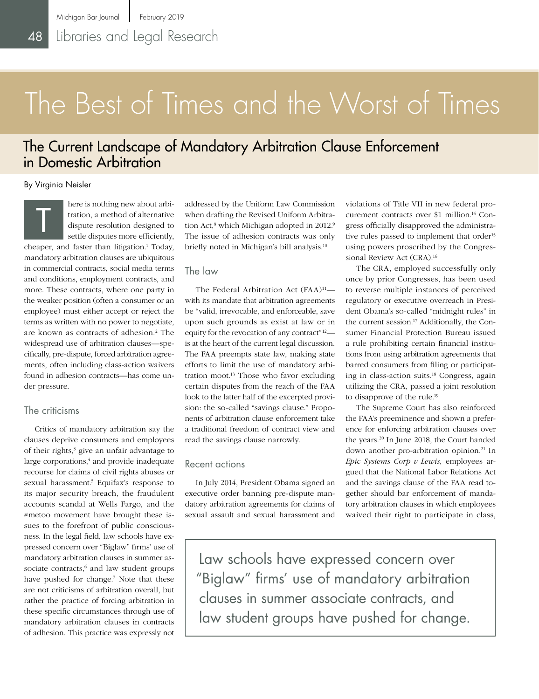# The Best of Times and the Worst of Times

## The Current Landscape of Mandatory Arbitration Clause Enforcement in Domestic Arbitration

By Virginia Neisler

here is nothing new about arbitration, a method of alternative dispute resolution designed to settle disputes more efficiently, cheaper, and faster than litigation.<sup>1</sup> Today, mandatory arbitration clauses are ubiquitous in commercial contracts, social media terms and conditions, employment contracts, and more. These contracts, where one party in the weaker position (often a consumer or an employee) must either accept or reject the terms as written with no power to negotiate, are known as contracts of adhesion.<sup>2</sup> The widespread use of arbitration clauses—specifically, pre-dispute, forced arbitration agreements, often including class-action waivers found in adhesion contracts—has come under pressure. T

#### The criticisms

Critics of mandatory arbitration say the clauses deprive consumers and employees of their rights,<sup>3</sup> give an unfair advantage to large corporations,<sup>4</sup> and provide inadequate recourse for claims of civil rights abuses or sexual harassment.<sup>5</sup> Equifax's response to its major security breach, the fraudulent accounts scandal at Wells Fargo, and the #metoo movement have brought these issues to the forefront of public consciousness. In the legal field, law schools have expressed concern over "Biglaw" firms' use of mandatory arbitration clauses in summer associate contracts,<sup>6</sup> and law student groups have pushed for change.<sup>7</sup> Note that these are not criticisms of arbitration overall, but rather the practice of forcing arbitration in these specific circumstances through use of mandatory arbitration clauses in contracts of adhesion. This practice was expressly not

addressed by the Uniform Law Commission when drafting the Revised Uniform Arbitration Act,<sup>8</sup> which Michigan adopted in 2012.<sup>9</sup> The issue of adhesion contracts was only briefly noted in Michigan's bill analysis.10

#### The law

The Federal Arbitration Act  $(FAA)^{11}$  with its mandate that arbitration agreements be "valid, irrevocable, and enforceable, save upon such grounds as exist at law or in equity for the revocation of any contract"12 is at the heart of the current legal discussion. The FAA preempts state law, making state efforts to limit the use of mandatory arbitration moot.13 Those who favor excluding certain disputes from the reach of the FAA look to the latter half of the excerpted provision: the so-called "savings clause." Proponents of arbitration clause enforcement take a traditional freedom of contract view and read the savings clause narrowly.

#### Recent actions

In July 2014, President Obama signed an executive order banning pre-dispute mandatory arbitration agreements for claims of sexual assault and sexual harassment and

violations of Title VII in new federal procurement contracts over \$1 million.14 Congress officially disapproved the administrative rules passed to implement that order<sup>15</sup> using powers proscribed by the Congressional Review Act (CRA).16

The CRA, employed successfully only once by prior Congresses, has been used to reverse multiple instances of perceived regulatory or executive overreach in President Obama's so-called "midnight rules" in the current session.<sup>17</sup> Additionally, the Consumer Financial Protection Bureau issued a rule prohibiting certain financial institutions from using arbitration agreements that barred consumers from filing or participating in class-action suits.18 Congress, again utilizing the CRA, passed a joint resolution to disapprove of the rule.19

The Supreme Court has also reinforced the FAA's preeminence and shown a preference for enforcing arbitration clauses over the years.20 In June 2018, the Court handed down another pro-arbitration opinion.<sup>21</sup> In *Epic Systems Corp v Lewis*, employees argued that the National Labor Relations Act and the savings clause of the FAA read together should bar enforcement of mandatory arbitration clauses in which employees waived their right to participate in class,

Law schools have expressed concern over "Biglaw" firms' use of mandatory arbitration clauses in summer associate contracts, and law student groups have pushed for change.